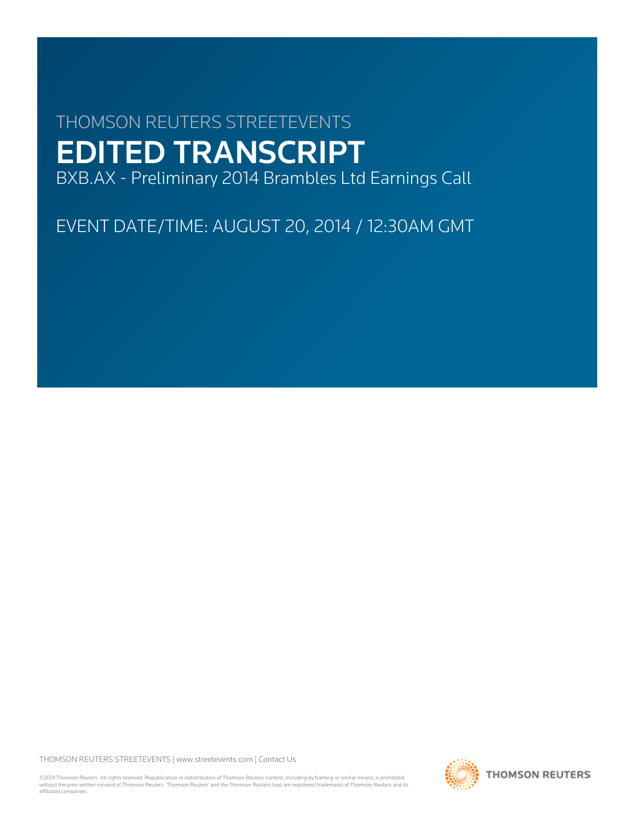# THOMSON REUTERS STREETEVENTS EDITED TRANSCRIPT

BXB.AX - Preliminary 2014 Brambles Ltd Earnings Call

EVENT DATE/TIME: AUGUST 20, 2014 / 12:30AM GMT

THOMSON REUTERS STREETEVENTS | [www.streetevents.com](http://www.streetevents.com) | [Contact Us](http://www010.streetevents.com/contact.asp)

©2014 Thomson Reuters. All rights reserved. Republication or redistribution of Thomson Reuters content, including by framing or similar means, is prohibited without the prior written consent of Thomson Reuters. 'Thomson Reuters' and the Thomson Reuters logo are registered trademarks of Thomson Reuters and its affiliated companies.

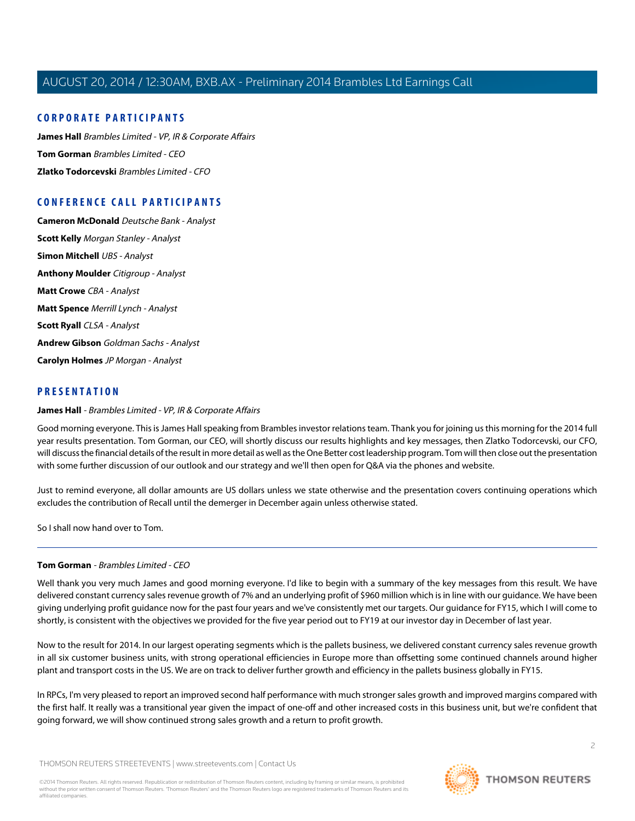# **CORPORATE PARTICIPANTS**

**[James Hall](#page-1-0)** Brambles Limited - VP, IR & Corporate Affairs **[Tom Gorman](#page-1-1)** Brambles Limited - CEO **[Zlatko Todorcevski](#page-4-0)** Brambles Limited - CFO

# **CONFERENCE CALL PARTICIPANTS**

**[Cameron McDonald](#page-9-0)** Deutsche Bank - Analyst **[Scott Kelly](#page-11-0)** Morgan Stanley - Analyst **[Simon Mitchell](#page-12-0)** UBS - Analyst **[Anthony Moulder](#page-14-0)** Citigroup - Analyst **[Matt Crowe](#page-16-0)** CBA - Analyst **[Matt Spence](#page-17-0)** Merrill Lynch - Analyst **[Scott Ryall](#page-19-0)** CLSA - Analyst **[Andrew Gibson](#page-20-0)** Goldman Sachs - Analyst **[Carolyn Holmes](#page-22-0)** JP Morgan - Analyst

# <span id="page-1-0"></span>**PRESENTATION**

#### **James Hall** - Brambles Limited - VP, IR & Corporate Affairs

Good morning everyone. This is James Hall speaking from Brambles investor relations team. Thank you for joining us this morning for the 2014 full year results presentation. Tom Gorman, our CEO, will shortly discuss our results highlights and key messages, then Zlatko Todorcevski, our CFO, will discuss the financial details of the result in more detail as well as the One Better cost leadership program. Tom will then close out the presentation with some further discussion of our outlook and our strategy and we'll then open for Q&A via the phones and website.

Just to remind everyone, all dollar amounts are US dollars unless we state otherwise and the presentation covers continuing operations which excludes the contribution of Recall until the demerger in December again unless otherwise stated.

<span id="page-1-1"></span>So I shall now hand over to Tom.

# **Tom Gorman** - Brambles Limited - CEO

Well thank you very much James and good morning everyone. I'd like to begin with a summary of the key messages from this result. We have delivered constant currency sales revenue growth of 7% and an underlying profit of \$960 million which is in line with our guidance. We have been giving underlying profit guidance now for the past four years and we've consistently met our targets. Our guidance for FY15, which I will come to shortly, is consistent with the objectives we provided for the five year period out to FY19 at our investor day in December of last year.

Now to the result for 2014. In our largest operating segments which is the pallets business, we delivered constant currency sales revenue growth in all six customer business units, with strong operational efficiencies in Europe more than offsetting some continued channels around higher plant and transport costs in the US. We are on track to deliver further growth and efficiency in the pallets business globally in FY15.

In RPCs, I'm very pleased to report an improved second half performance with much stronger sales growth and improved margins compared with the first half. It really was a transitional year given the impact of one-off and other increased costs in this business unit, but we're confident that going forward, we will show continued strong sales growth and a return to profit growth.

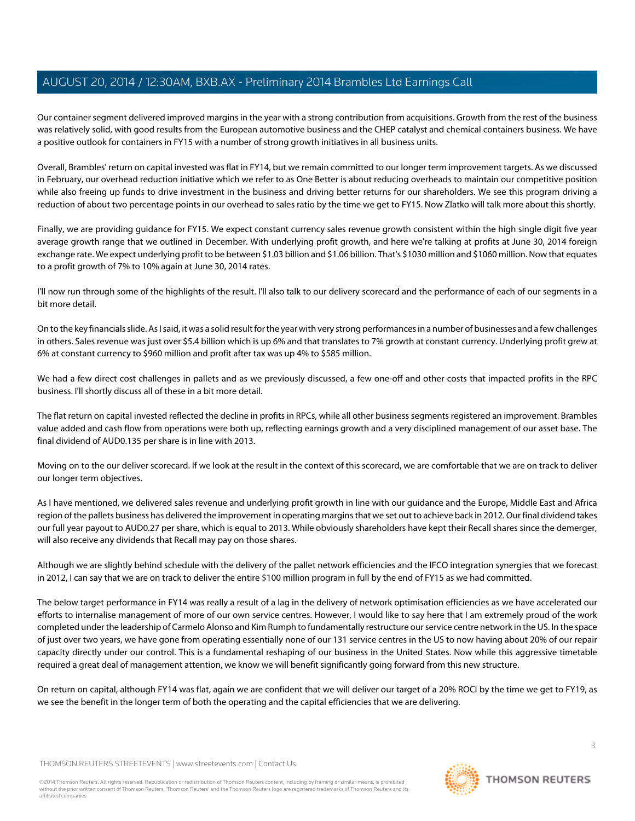Our container segment delivered improved margins in the year with a strong contribution from acquisitions. Growth from the rest of the business was relatively solid, with good results from the European automotive business and the CHEP catalyst and chemical containers business. We have a positive outlook for containers in FY15 with a number of strong growth initiatives in all business units.

Overall, Brambles' return on capital invested was flat in FY14, but we remain committed to our longer term improvement targets. As we discussed in February, our overhead reduction initiative which we refer to as One Better is about reducing overheads to maintain our competitive position while also freeing up funds to drive investment in the business and driving better returns for our shareholders. We see this program driving a reduction of about two percentage points in our overhead to sales ratio by the time we get to FY15. Now Zlatko will talk more about this shortly.

Finally, we are providing guidance for FY15. We expect constant currency sales revenue growth consistent within the high single digit five year average growth range that we outlined in December. With underlying profit growth, and here we're talking at profits at June 30, 2014 foreign exchange rate. We expect underlying profit to be between \$1.03 billion and \$1.06 billion. That's \$1030 million and \$1060 million. Now that equates to a profit growth of 7% to 10% again at June 30, 2014 rates.

I'll now run through some of the highlights of the result. I'll also talk to our delivery scorecard and the performance of each of our segments in a bit more detail.

On to the key financials slide. As I said, it was a solid result for the year with very strong performances in a number of businesses and a few challenges in others. Sales revenue was just over \$5.4 billion which is up 6% and that translates to 7% growth at constant currency. Underlying profit grew at 6% at constant currency to \$960 million and profit after tax was up 4% to \$585 million.

We had a few direct cost challenges in pallets and as we previously discussed, a few one-off and other costs that impacted profits in the RPC business. I'll shortly discuss all of these in a bit more detail.

The flat return on capital invested reflected the decline in profits in RPCs, while all other business segments registered an improvement. Brambles value added and cash flow from operations were both up, reflecting earnings growth and a very disciplined management of our asset base. The final dividend of AUD0.135 per share is in line with 2013.

Moving on to the our deliver scorecard. If we look at the result in the context of this scorecard, we are comfortable that we are on track to deliver our longer term objectives.

As I have mentioned, we delivered sales revenue and underlying profit growth in line with our guidance and the Europe, Middle East and Africa region of the pallets business has delivered the improvement in operating margins that we set out to achieve back in 2012. Our final dividend takes our full year payout to AUD0.27 per share, which is equal to 2013. While obviously shareholders have kept their Recall shares since the demerger, will also receive any dividends that Recall may pay on those shares.

Although we are slightly behind schedule with the delivery of the pallet network efficiencies and the IFCO integration synergies that we forecast in 2012, I can say that we are on track to deliver the entire \$100 million program in full by the end of FY15 as we had committed.

The below target performance in FY14 was really a result of a lag in the delivery of network optimisation efficiencies as we have accelerated our efforts to internalise management of more of our own service centres. However, I would like to say here that I am extremely proud of the work completed under the leadership of Carmelo Alonso and Kim Rumph to fundamentally restructure our service centre network in the US. In the space of just over two years, we have gone from operating essentially none of our 131 service centres in the US to now having about 20% of our repair capacity directly under our control. This is a fundamental reshaping of our business in the United States. Now while this aggressive timetable required a great deal of management attention, we know we will benefit significantly going forward from this new structure.

On return on capital, although FY14 was flat, again we are confident that we will deliver our target of a 20% ROCI by the time we get to FY19, as we see the benefit in the longer term of both the operating and the capital efficiencies that we are delivering.

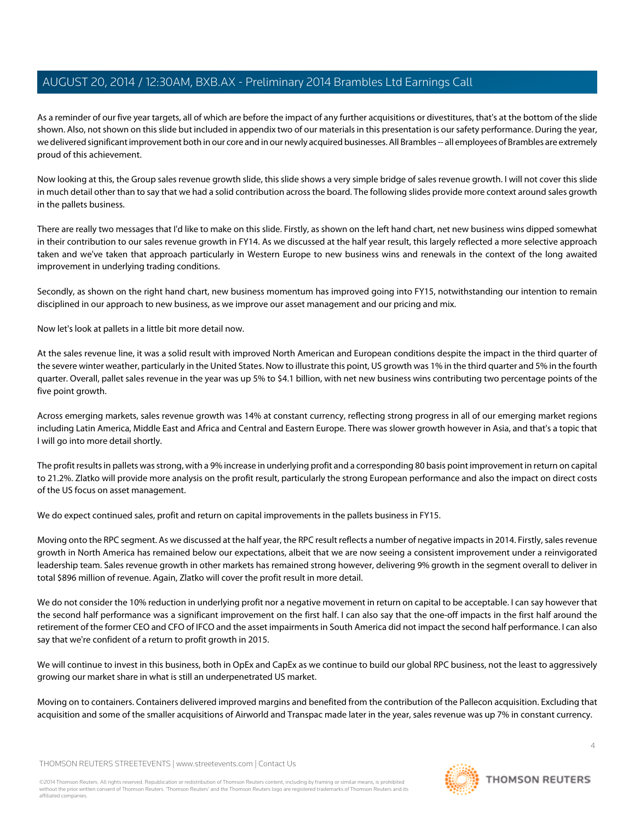As a reminder of our five year targets, all of which are before the impact of any further acquisitions or divestitures, that's at the bottom of the slide shown. Also, not shown on this slide but included in appendix two of our materials in this presentation is our safety performance. During the year, we delivered significant improvement both in our core and in our newly acquired businesses. All Brambles -- all employees of Brambles are extremely proud of this achievement.

Now looking at this, the Group sales revenue growth slide, this slide shows a very simple bridge of sales revenue growth. I will not cover this slide in much detail other than to say that we had a solid contribution across the board. The following slides provide more context around sales growth in the pallets business.

There are really two messages that I'd like to make on this slide. Firstly, as shown on the left hand chart, net new business wins dipped somewhat in their contribution to our sales revenue growth in FY14. As we discussed at the half year result, this largely reflected a more selective approach taken and we've taken that approach particularly in Western Europe to new business wins and renewals in the context of the long awaited improvement in underlying trading conditions.

Secondly, as shown on the right hand chart, new business momentum has improved going into FY15, notwithstanding our intention to remain disciplined in our approach to new business, as we improve our asset management and our pricing and mix.

Now let's look at pallets in a little bit more detail now.

At the sales revenue line, it was a solid result with improved North American and European conditions despite the impact in the third quarter of the severe winter weather, particularly in the United States. Now to illustrate this point, US growth was 1% in the third quarter and 5% in the fourth quarter. Overall, pallet sales revenue in the year was up 5% to \$4.1 billion, with net new business wins contributing two percentage points of the five point growth.

Across emerging markets, sales revenue growth was 14% at constant currency, reflecting strong progress in all of our emerging market regions including Latin America, Middle East and Africa and Central and Eastern Europe. There was slower growth however in Asia, and that's a topic that I will go into more detail shortly.

The profit results in pallets was strong, with a 9% increase in underlying profit and a corresponding 80 basis point improvement in return on capital to 21.2%. Zlatko will provide more analysis on the profit result, particularly the strong European performance and also the impact on direct costs of the US focus on asset management.

We do expect continued sales, profit and return on capital improvements in the pallets business in FY15.

Moving onto the RPC segment. As we discussed at the half year, the RPC result reflects a number of negative impacts in 2014. Firstly, sales revenue growth in North America has remained below our expectations, albeit that we are now seeing a consistent improvement under a reinvigorated leadership team. Sales revenue growth in other markets has remained strong however, delivering 9% growth in the segment overall to deliver in total \$896 million of revenue. Again, Zlatko will cover the profit result in more detail.

We do not consider the 10% reduction in underlying profit nor a negative movement in return on capital to be acceptable. I can say however that the second half performance was a significant improvement on the first half. I can also say that the one-off impacts in the first half around the retirement of the former CEO and CFO of IFCO and the asset impairments in South America did not impact the second half performance. I can also say that we're confident of a return to profit growth in 2015.

We will continue to invest in this business, both in OpEx and CapEx as we continue to build our global RPC business, not the least to aggressively growing our market share in what is still an underpenetrated US market.

Moving on to containers. Containers delivered improved margins and benefited from the contribution of the Pallecon acquisition. Excluding that acquisition and some of the smaller acquisitions of Airworld and Transpac made later in the year, sales revenue was up 7% in constant currency.

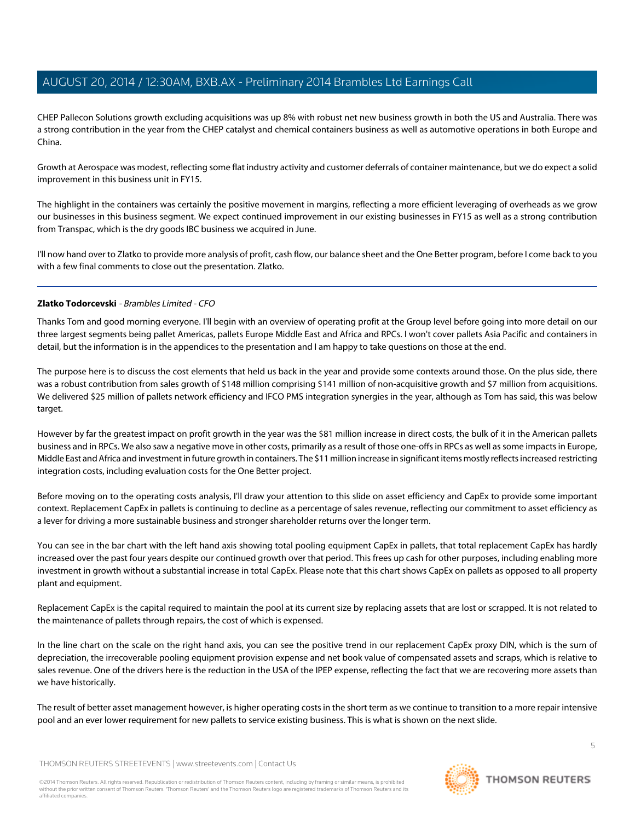CHEP Pallecon Solutions growth excluding acquisitions was up 8% with robust net new business growth in both the US and Australia. There was a strong contribution in the year from the CHEP catalyst and chemical containers business as well as automotive operations in both Europe and China.

Growth at Aerospace was modest, reflecting some flat industry activity and customer deferrals of container maintenance, but we do expect a solid improvement in this business unit in FY15.

The highlight in the containers was certainly the positive movement in margins, reflecting a more efficient leveraging of overheads as we grow our businesses in this business segment. We expect continued improvement in our existing businesses in FY15 as well as a strong contribution from Transpac, which is the dry goods IBC business we acquired in June.

<span id="page-4-0"></span>I'll now hand over to Zlatko to provide more analysis of profit, cash flow, our balance sheet and the One Better program, before I come back to you with a few final comments to close out the presentation. Zlatko.

# **Zlatko Todorcevski** - Brambles Limited - CFO

Thanks Tom and good morning everyone. I'll begin with an overview of operating profit at the Group level before going into more detail on our three largest segments being pallet Americas, pallets Europe Middle East and Africa and RPCs. I won't cover pallets Asia Pacific and containers in detail, but the information is in the appendices to the presentation and I am happy to take questions on those at the end.

The purpose here is to discuss the cost elements that held us back in the year and provide some contexts around those. On the plus side, there was a robust contribution from sales growth of \$148 million comprising \$141 million of non-acquisitive growth and \$7 million from acquisitions. We delivered \$25 million of pallets network efficiency and IFCO PMS integration synergies in the year, although as Tom has said, this was below target.

However by far the greatest impact on profit growth in the year was the \$81 million increase in direct costs, the bulk of it in the American pallets business and in RPCs. We also saw a negative move in other costs, primarily as a result of those one-offs in RPCs as well as some impacts in Europe, Middle East and Africa and investment in future growth in containers. The \$11 million increase in significant items mostly reflects increased restricting integration costs, including evaluation costs for the One Better project.

Before moving on to the operating costs analysis, I'll draw your attention to this slide on asset efficiency and CapEx to provide some important context. Replacement CapEx in pallets is continuing to decline as a percentage of sales revenue, reflecting our commitment to asset efficiency as a lever for driving a more sustainable business and stronger shareholder returns over the longer term.

You can see in the bar chart with the left hand axis showing total pooling equipment CapEx in pallets, that total replacement CapEx has hardly increased over the past four years despite our continued growth over that period. This frees up cash for other purposes, including enabling more investment in growth without a substantial increase in total CapEx. Please note that this chart shows CapEx on pallets as opposed to all property plant and equipment.

Replacement CapEx is the capital required to maintain the pool at its current size by replacing assets that are lost or scrapped. It is not related to the maintenance of pallets through repairs, the cost of which is expensed.

In the line chart on the scale on the right hand axis, you can see the positive trend in our replacement CapEx proxy DIN, which is the sum of depreciation, the irrecoverable pooling equipment provision expense and net book value of compensated assets and scraps, which is relative to sales revenue. One of the drivers here is the reduction in the USA of the IPEP expense, reflecting the fact that we are recovering more assets than we have historically.

The result of better asset management however, is higher operating costs in the short term as we continue to transition to a more repair intensive pool and an ever lower requirement for new pallets to service existing business. This is what is shown on the next slide.

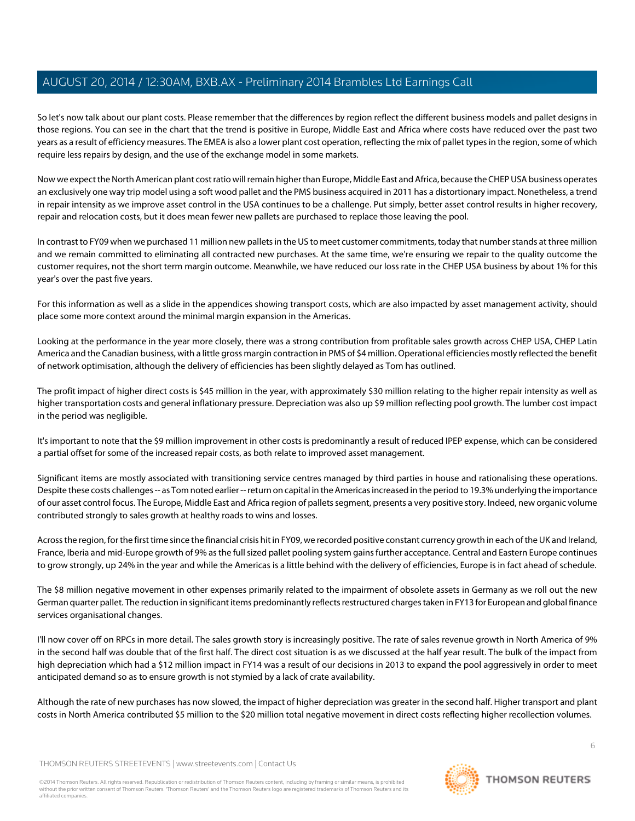So let's now talk about our plant costs. Please remember that the differences by region reflect the different business models and pallet designs in those regions. You can see in the chart that the trend is positive in Europe, Middle East and Africa where costs have reduced over the past two years as a result of efficiency measures. The EMEA is also a lower plant cost operation, reflecting the mix of pallet types in the region, some of which require less repairs by design, and the use of the exchange model in some markets.

Now we expect the North American plant cost ratio will remain higher than Europe, Middle East and Africa, because the CHEP USA business operates an exclusively one way trip model using a soft wood pallet and the PMS business acquired in 2011 has a distortionary impact. Nonetheless, a trend in repair intensity as we improve asset control in the USA continues to be a challenge. Put simply, better asset control results in higher recovery, repair and relocation costs, but it does mean fewer new pallets are purchased to replace those leaving the pool.

In contrast to FY09 when we purchased 11 million new pallets in the US to meet customer commitments, today that number stands at three million and we remain committed to eliminating all contracted new purchases. At the same time, we're ensuring we repair to the quality outcome the customer requires, not the short term margin outcome. Meanwhile, we have reduced our loss rate in the CHEP USA business by about 1% for this year's over the past five years.

For this information as well as a slide in the appendices showing transport costs, which are also impacted by asset management activity, should place some more context around the minimal margin expansion in the Americas.

Looking at the performance in the year more closely, there was a strong contribution from profitable sales growth across CHEP USA, CHEP Latin America and the Canadian business, with a little gross margin contraction in PMS of \$4 million. Operational efficiencies mostly reflected the benefit of network optimisation, although the delivery of efficiencies has been slightly delayed as Tom has outlined.

The profit impact of higher direct costs is \$45 million in the year, with approximately \$30 million relating to the higher repair intensity as well as higher transportation costs and general inflationary pressure. Depreciation was also up \$9 million reflecting pool growth. The lumber cost impact in the period was negligible.

It's important to note that the \$9 million improvement in other costs is predominantly a result of reduced IPEP expense, which can be considered a partial offset for some of the increased repair costs, as both relate to improved asset management.

Significant items are mostly associated with transitioning service centres managed by third parties in house and rationalising these operations. Despite these costs challenges -- as Tom noted earlier -- return on capital in the Americas increased in the period to 19.3% underlying the importance of our asset control focus. The Europe, Middle East and Africa region of pallets segment, presents a very positive story. Indeed, new organic volume contributed strongly to sales growth at healthy roads to wins and losses.

Across the region, for the first time since the financial crisis hit in FY09, we recorded positive constant currency growth in each of the UK and Ireland, France, Iberia and mid-Europe growth of 9% as the full sized pallet pooling system gains further acceptance. Central and Eastern Europe continues to grow strongly, up 24% in the year and while the Americas is a little behind with the delivery of efficiencies, Europe is in fact ahead of schedule.

The \$8 million negative movement in other expenses primarily related to the impairment of obsolete assets in Germany as we roll out the new German quarter pallet. The reduction in significant items predominantly reflects restructured charges taken in FY13 for European and global finance services organisational changes.

I'll now cover off on RPCs in more detail. The sales growth story is increasingly positive. The rate of sales revenue growth in North America of 9% in the second half was double that of the first half. The direct cost situation is as we discussed at the half year result. The bulk of the impact from high depreciation which had a \$12 million impact in FY14 was a result of our decisions in 2013 to expand the pool aggressively in order to meet anticipated demand so as to ensure growth is not stymied by a lack of crate availability.

Although the rate of new purchases has now slowed, the impact of higher depreciation was greater in the second half. Higher transport and plant costs in North America contributed \$5 million to the \$20 million total negative movement in direct costs reflecting higher recollection volumes.

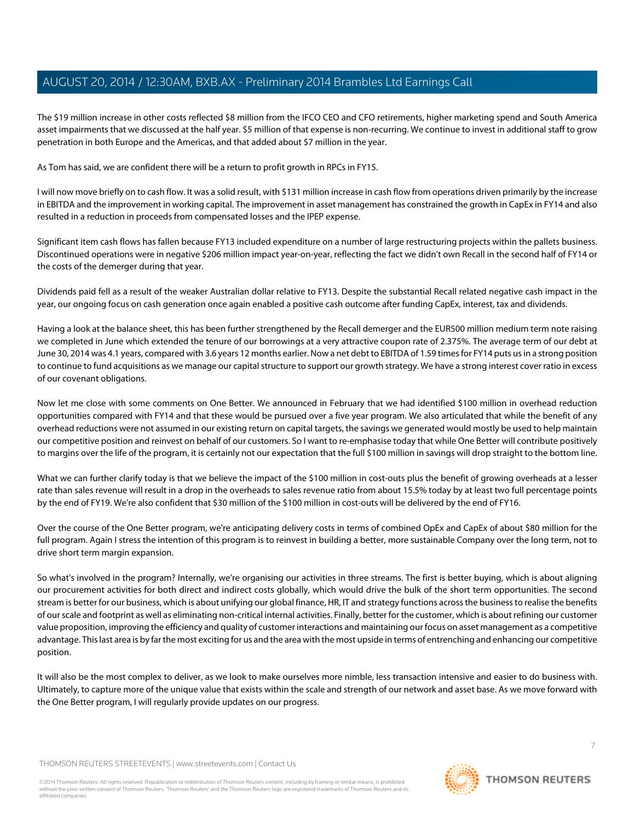The \$19 million increase in other costs reflected \$8 million from the IFCO CEO and CFO retirements, higher marketing spend and South America asset impairments that we discussed at the half year. \$5 million of that expense is non-recurring. We continue to invest in additional staff to grow penetration in both Europe and the Americas, and that added about \$7 million in the year.

As Tom has said, we are confident there will be a return to profit growth in RPCs in FY15.

I will now move briefly on to cash flow. It was a solid result, with \$131 million increase in cash flow from operations driven primarily by the increase in EBITDA and the improvement in working capital. The improvement in asset management has constrained the growth in CapEx in FY14 and also resulted in a reduction in proceeds from compensated losses and the IPEP expense.

Significant item cash flows has fallen because FY13 included expenditure on a number of large restructuring projects within the pallets business. Discontinued operations were in negative \$206 million impact year-on-year, reflecting the fact we didn't own Recall in the second half of FY14 or the costs of the demerger during that year.

Dividends paid fell as a result of the weaker Australian dollar relative to FY13. Despite the substantial Recall related negative cash impact in the year, our ongoing focus on cash generation once again enabled a positive cash outcome after funding CapEx, interest, tax and dividends.

Having a look at the balance sheet, this has been further strengthened by the Recall demerger and the EUR500 million medium term note raising we completed in June which extended the tenure of our borrowings at a very attractive coupon rate of 2.375%. The average term of our debt at June 30, 2014 was 4.1 years, compared with 3.6 years 12 months earlier. Now a net debt to EBITDA of 1.59 times for FY14 puts us in a strong position to continue to fund acquisitions as we manage our capital structure to support our growth strategy. We have a strong interest cover ratio in excess of our covenant obligations.

Now let me close with some comments on One Better. We announced in February that we had identified \$100 million in overhead reduction opportunities compared with FY14 and that these would be pursued over a five year program. We also articulated that while the benefit of any overhead reductions were not assumed in our existing return on capital targets, the savings we generated would mostly be used to help maintain our competitive position and reinvest on behalf of our customers. So I want to re-emphasise today that while One Better will contribute positively to margins over the life of the program, it is certainly not our expectation that the full \$100 million in savings will drop straight to the bottom line.

What we can further clarify today is that we believe the impact of the \$100 million in cost-outs plus the benefit of growing overheads at a lesser rate than sales revenue will result in a drop in the overheads to sales revenue ratio from about 15.5% today by at least two full percentage points by the end of FY19. We're also confident that \$30 million of the \$100 million in cost-outs will be delivered by the end of FY16.

Over the course of the One Better program, we're anticipating delivery costs in terms of combined OpEx and CapEx of about \$80 million for the full program. Again I stress the intention of this program is to reinvest in building a better, more sustainable Company over the long term, not to drive short term margin expansion.

So what's involved in the program? Internally, we're organising our activities in three streams. The first is better buying, which is about aligning our procurement activities for both direct and indirect costs globally, which would drive the bulk of the short term opportunities. The second stream is better for our business, which is about unifying our global finance, HR, IT and strategy functions across the business to realise the benefits of our scale and footprint as well as eliminating non-critical internal activities. Finally, better for the customer, which is about refining our customer value proposition, improving the efficiency and quality of customer interactions and maintaining our focus on asset management as a competitive advantage. This last area is by far the most exciting for us and the area with the most upside in terms of entrenching and enhancing our competitive position.

It will also be the most complex to deliver, as we look to make ourselves more nimble, less transaction intensive and easier to do business with. Ultimately, to capture more of the unique value that exists within the scale and strength of our network and asset base. As we move forward with the One Better program, I will regularly provide updates on our progress.

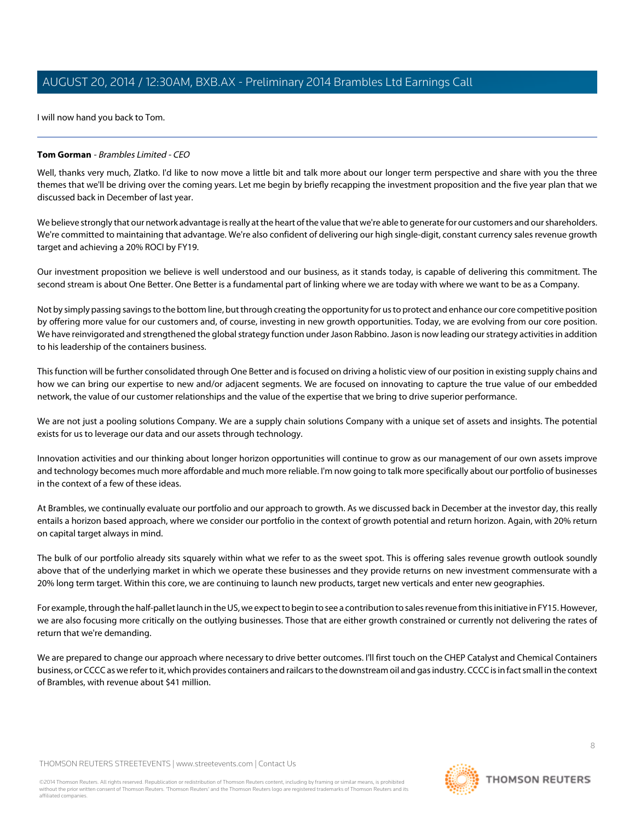I will now hand you back to Tom.

# **Tom Gorman** - Brambles Limited - CEO

Well, thanks very much, Zlatko. I'd like to now move a little bit and talk more about our longer term perspective and share with you the three themes that we'll be driving over the coming years. Let me begin by briefly recapping the investment proposition and the five year plan that we discussed back in December of last year.

We believe strongly that our network advantage is really at the heart of the value that we're able to generate for our customers and our shareholders. We're committed to maintaining that advantage. We're also confident of delivering our high single-digit, constant currency sales revenue growth target and achieving a 20% ROCI by FY19.

Our investment proposition we believe is well understood and our business, as it stands today, is capable of delivering this commitment. The second stream is about One Better. One Better is a fundamental part of linking where we are today with where we want to be as a Company.

Not by simply passing savings to the bottom line, but through creating the opportunity for us to protect and enhance our core competitive position by offering more value for our customers and, of course, investing in new growth opportunities. Today, we are evolving from our core position. We have reinvigorated and strengthened the global strategy function under Jason Rabbino. Jason is now leading our strategy activities in addition to his leadership of the containers business.

This function will be further consolidated through One Better and is focused on driving a holistic view of our position in existing supply chains and how we can bring our expertise to new and/or adjacent segments. We are focused on innovating to capture the true value of our embedded network, the value of our customer relationships and the value of the expertise that we bring to drive superior performance.

We are not just a pooling solutions Company. We are a supply chain solutions Company with a unique set of assets and insights. The potential exists for us to leverage our data and our assets through technology.

Innovation activities and our thinking about longer horizon opportunities will continue to grow as our management of our own assets improve and technology becomes much more affordable and much more reliable. I'm now going to talk more specifically about our portfolio of businesses in the context of a few of these ideas.

At Brambles, we continually evaluate our portfolio and our approach to growth. As we discussed back in December at the investor day, this really entails a horizon based approach, where we consider our portfolio in the context of growth potential and return horizon. Again, with 20% return on capital target always in mind.

The bulk of our portfolio already sits squarely within what we refer to as the sweet spot. This is offering sales revenue growth outlook soundly above that of the underlying market in which we operate these businesses and they provide returns on new investment commensurate with a 20% long term target. Within this core, we are continuing to launch new products, target new verticals and enter new geographies.

For example, through the half-pallet launch in the US, we expect to begin to see a contribution to sales revenue from this initiative in FY15. However, we are also focusing more critically on the outlying businesses. Those that are either growth constrained or currently not delivering the rates of return that we're demanding.

We are prepared to change our approach where necessary to drive better outcomes. I'll first touch on the CHEP Catalyst and Chemical Containers business, or CCCC as we refer to it, which provides containers and railcars to the downstream oil and gas industry. CCCC is in fact small in the context of Brambles, with revenue about \$41 million.

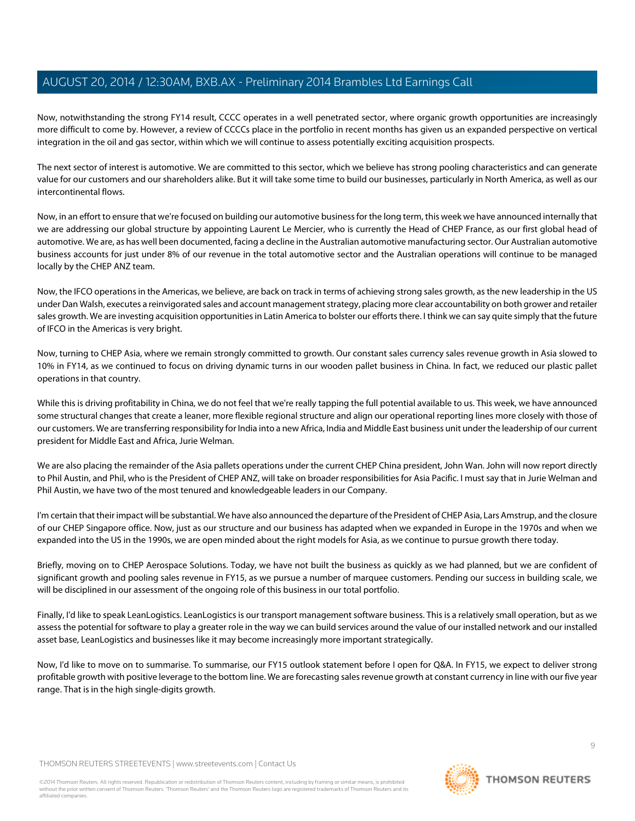Now, notwithstanding the strong FY14 result, CCCC operates in a well penetrated sector, where organic growth opportunities are increasingly more difficult to come by. However, a review of CCCCs place in the portfolio in recent months has given us an expanded perspective on vertical integration in the oil and gas sector, within which we will continue to assess potentially exciting acquisition prospects.

The next sector of interest is automotive. We are committed to this sector, which we believe has strong pooling characteristics and can generate value for our customers and our shareholders alike. But it will take some time to build our businesses, particularly in North America, as well as our intercontinental flows.

Now, in an effort to ensure that we're focused on building our automotive business for the long term, this week we have announced internally that we are addressing our global structure by appointing Laurent Le Mercier, who is currently the Head of CHEP France, as our first global head of automotive. We are, as has well been documented, facing a decline in the Australian automotive manufacturing sector. Our Australian automotive business accounts for just under 8% of our revenue in the total automotive sector and the Australian operations will continue to be managed locally by the CHEP ANZ team.

Now, the IFCO operations in the Americas, we believe, are back on track in terms of achieving strong sales growth, as the new leadership in the US under Dan Walsh, executes a reinvigorated sales and account management strategy, placing more clear accountability on both grower and retailer sales growth. We are investing acquisition opportunities in Latin America to bolster our efforts there. I think we can say quite simply that the future of IFCO in the Americas is very bright.

Now, turning to CHEP Asia, where we remain strongly committed to growth. Our constant sales currency sales revenue growth in Asia slowed to 10% in FY14, as we continued to focus on driving dynamic turns in our wooden pallet business in China. In fact, we reduced our plastic pallet operations in that country.

While this is driving profitability in China, we do not feel that we're really tapping the full potential available to us. This week, we have announced some structural changes that create a leaner, more flexible regional structure and align our operational reporting lines more closely with those of our customers. We are transferring responsibility for India into a new Africa, India and Middle East business unit under the leadership of our current president for Middle East and Africa, Jurie Welman.

We are also placing the remainder of the Asia pallets operations under the current CHEP China president, John Wan. John will now report directly to Phil Austin, and Phil, who is the President of CHEP ANZ, will take on broader responsibilities for Asia Pacific. I must say that in Jurie Welman and Phil Austin, we have two of the most tenured and knowledgeable leaders in our Company.

I'm certain that their impact will be substantial. We have also announced the departure of the President of CHEP Asia, Lars Amstrup, and the closure of our CHEP Singapore office. Now, just as our structure and our business has adapted when we expanded in Europe in the 1970s and when we expanded into the US in the 1990s, we are open minded about the right models for Asia, as we continue to pursue growth there today.

Briefly, moving on to CHEP Aerospace Solutions. Today, we have not built the business as quickly as we had planned, but we are confident of significant growth and pooling sales revenue in FY15, as we pursue a number of marquee customers. Pending our success in building scale, we will be disciplined in our assessment of the ongoing role of this business in our total portfolio.

Finally, I'd like to speak LeanLogistics. LeanLogistics is our transport management software business. This is a relatively small operation, but as we assess the potential for software to play a greater role in the way we can build services around the value of our installed network and our installed asset base, LeanLogistics and businesses like it may become increasingly more important strategically.

Now, I'd like to move on to summarise. To summarise, our FY15 outlook statement before I open for Q&A. In FY15, we expect to deliver strong profitable growth with positive leverage to the bottom line. We are forecasting sales revenue growth at constant currency in line with our five year range. That is in the high single-digits growth.

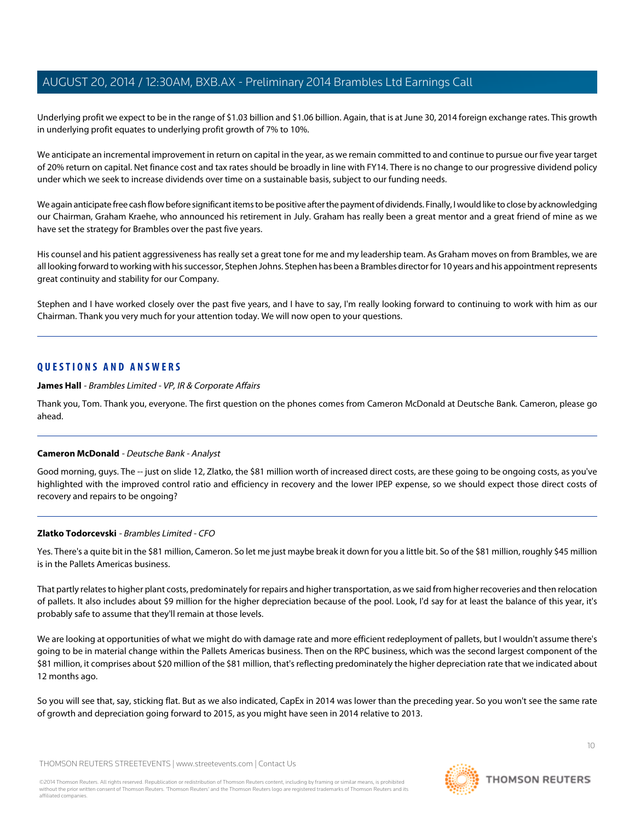Underlying profit we expect to be in the range of \$1.03 billion and \$1.06 billion. Again, that is at June 30, 2014 foreign exchange rates. This growth in underlying profit equates to underlying profit growth of 7% to 10%.

We anticipate an incremental improvement in return on capital in the year, as we remain committed to and continue to pursue our five year target of 20% return on capital. Net finance cost and tax rates should be broadly in line with FY14. There is no change to our progressive dividend policy under which we seek to increase dividends over time on a sustainable basis, subject to our funding needs.

We again anticipate free cash flow before significant items to be positive after the payment of dividends. Finally, I would like to close by acknowledging our Chairman, Graham Kraehe, who announced his retirement in July. Graham has really been a great mentor and a great friend of mine as we have set the strategy for Brambles over the past five years.

His counsel and his patient aggressiveness has really set a great tone for me and my leadership team. As Graham moves on from Brambles, we are all looking forward to working with his successor, Stephen Johns. Stephen has been a Brambles director for 10 years and his appointment represents great continuity and stability for our Company.

Stephen and I have worked closely over the past five years, and I have to say, I'm really looking forward to continuing to work with him as our Chairman. Thank you very much for your attention today. We will now open to your questions.

# **QUESTIONS AND ANSWERS**

**James Hall** - Brambles Limited - VP, IR & Corporate Affairs

<span id="page-9-0"></span>Thank you, Tom. Thank you, everyone. The first question on the phones comes from Cameron McDonald at Deutsche Bank. Cameron, please go ahead.

# **Cameron McDonald** - Deutsche Bank - Analyst

Good morning, guys. The -- just on slide 12, Zlatko, the \$81 million worth of increased direct costs, are these going to be ongoing costs, as you've highlighted with the improved control ratio and efficiency in recovery and the lower IPEP expense, so we should expect those direct costs of recovery and repairs to be ongoing?

#### **Zlatko Todorcevski** - Brambles Limited - CFO

Yes. There's a quite bit in the \$81 million, Cameron. So let me just maybe break it down for you a little bit. So of the \$81 million, roughly \$45 million is in the Pallets Americas business.

That partly relates to higher plant costs, predominately for repairs and higher transportation, as we said from higher recoveries and then relocation of pallets. It also includes about \$9 million for the higher depreciation because of the pool. Look, I'd say for at least the balance of this year, it's probably safe to assume that they'll remain at those levels.

We are looking at opportunities of what we might do with damage rate and more efficient redeployment of pallets, but I wouldn't assume there's going to be in material change within the Pallets Americas business. Then on the RPC business, which was the second largest component of the \$81 million, it comprises about \$20 million of the \$81 million, that's reflecting predominately the higher depreciation rate that we indicated about 12 months ago.

So you will see that, say, sticking flat. But as we also indicated, CapEx in 2014 was lower than the preceding year. So you won't see the same rate of growth and depreciation going forward to 2015, as you might have seen in 2014 relative to 2013.

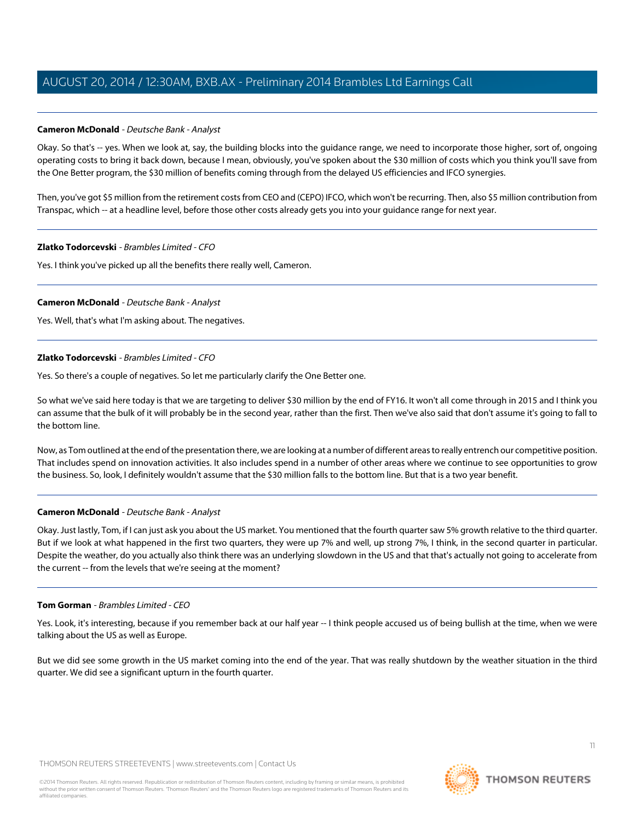# **Cameron McDonald** - Deutsche Bank - Analyst

Okay. So that's -- yes. When we look at, say, the building blocks into the guidance range, we need to incorporate those higher, sort of, ongoing operating costs to bring it back down, because I mean, obviously, you've spoken about the \$30 million of costs which you think you'll save from the One Better program, the \$30 million of benefits coming through from the delayed US efficiencies and IFCO synergies.

Then, you've got \$5 million from the retirement costs from CEO and (CEPO) IFCO, which won't be recurring. Then, also \$5 million contribution from Transpac, which -- at a headline level, before those other costs already gets you into your guidance range for next year.

# **Zlatko Todorcevski** - Brambles Limited - CFO

Yes. I think you've picked up all the benefits there really well, Cameron.

# **Cameron McDonald** - Deutsche Bank - Analyst

Yes. Well, that's what I'm asking about. The negatives.

# **Zlatko Todorcevski** - Brambles Limited - CFO

Yes. So there's a couple of negatives. So let me particularly clarify the One Better one.

So what we've said here today is that we are targeting to deliver \$30 million by the end of FY16. It won't all come through in 2015 and I think you can assume that the bulk of it will probably be in the second year, rather than the first. Then we've also said that don't assume it's going to fall to the bottom line.

Now, as Tom outlined at the end of the presentation there, we are looking at a number of different areas to really entrench our competitive position. That includes spend on innovation activities. It also includes spend in a number of other areas where we continue to see opportunities to grow the business. So, look, I definitely wouldn't assume that the \$30 million falls to the bottom line. But that is a two year benefit.

# **Cameron McDonald** - Deutsche Bank - Analyst

Okay. Just lastly, Tom, if I can just ask you about the US market. You mentioned that the fourth quarter saw 5% growth relative to the third quarter. But if we look at what happened in the first two quarters, they were up 7% and well, up strong 7%, I think, in the second quarter in particular. Despite the weather, do you actually also think there was an underlying slowdown in the US and that that's actually not going to accelerate from the current -- from the levels that we're seeing at the moment?

#### **Tom Gorman** - Brambles Limited - CEO

Yes. Look, it's interesting, because if you remember back at our half year -- I think people accused us of being bullish at the time, when we were talking about the US as well as Europe.

But we did see some growth in the US market coming into the end of the year. That was really shutdown by the weather situation in the third quarter. We did see a significant upturn in the fourth quarter.

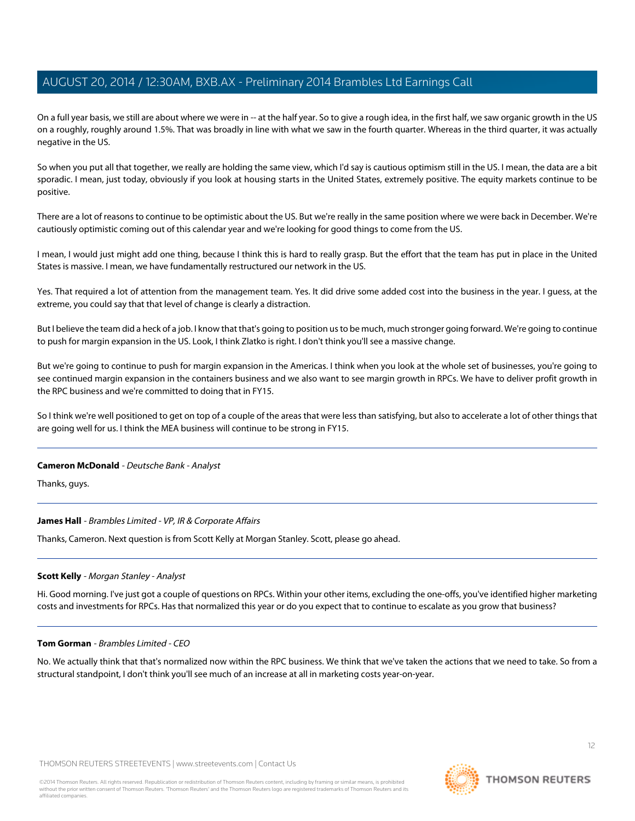On a full year basis, we still are about where we were in -- at the half year. So to give a rough idea, in the first half, we saw organic growth in the US on a roughly, roughly around 1.5%. That was broadly in line with what we saw in the fourth quarter. Whereas in the third quarter, it was actually negative in the US.

So when you put all that together, we really are holding the same view, which I'd say is cautious optimism still in the US. I mean, the data are a bit sporadic. I mean, just today, obviously if you look at housing starts in the United States, extremely positive. The equity markets continue to be positive.

There are a lot of reasons to continue to be optimistic about the US. But we're really in the same position where we were back in December. We're cautiously optimistic coming out of this calendar year and we're looking for good things to come from the US.

I mean, I would just might add one thing, because I think this is hard to really grasp. But the effort that the team has put in place in the United States is massive. I mean, we have fundamentally restructured our network in the US.

Yes. That required a lot of attention from the management team. Yes. It did drive some added cost into the business in the year. I guess, at the extreme, you could say that that level of change is clearly a distraction.

But I believe the team did a heck of a job. I know that that's going to position us to be much, much stronger going forward. We're going to continue to push for margin expansion in the US. Look, I think Zlatko is right. I don't think you'll see a massive change.

But we're going to continue to push for margin expansion in the Americas. I think when you look at the whole set of businesses, you're going to see continued margin expansion in the containers business and we also want to see margin growth in RPCs. We have to deliver profit growth in the RPC business and we're committed to doing that in FY15.

So I think we're well positioned to get on top of a couple of the areas that were less than satisfying, but also to accelerate a lot of other things that are going well for us. I think the MEA business will continue to be strong in FY15.

#### **Cameron McDonald** - Deutsche Bank - Analyst

Thanks, guys.

#### <span id="page-11-0"></span>**James Hall** - Brambles Limited - VP, IR & Corporate Affairs

Thanks, Cameron. Next question is from Scott Kelly at Morgan Stanley. Scott, please go ahead.

#### **Scott Kelly** - Morgan Stanley - Analyst

Hi. Good morning. I've just got a couple of questions on RPCs. Within your other items, excluding the one-offs, you've identified higher marketing costs and investments for RPCs. Has that normalized this year or do you expect that to continue to escalate as you grow that business?

#### **Tom Gorman** - Brambles Limited - CEO

No. We actually think that that's normalized now within the RPC business. We think that we've taken the actions that we need to take. So from a structural standpoint, I don't think you'll see much of an increase at all in marketing costs year-on-year.

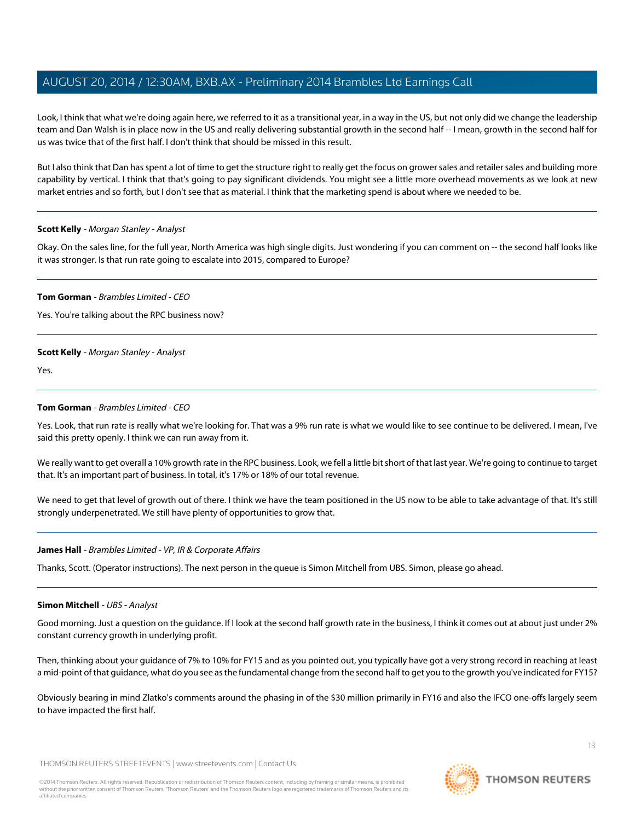Look, I think that what we're doing again here, we referred to it as a transitional year, in a way in the US, but not only did we change the leadership team and Dan Walsh is in place now in the US and really delivering substantial growth in the second half -- I mean, growth in the second half for us was twice that of the first half. I don't think that should be missed in this result.

But I also think that Dan has spent a lot of time to get the structure right to really get the focus on grower sales and retailer sales and building more capability by vertical. I think that that's going to pay significant dividends. You might see a little more overhead movements as we look at new market entries and so forth, but I don't see that as material. I think that the marketing spend is about where we needed to be.

#### **Scott Kelly** - Morgan Stanley - Analyst

Okay. On the sales line, for the full year, North America was high single digits. Just wondering if you can comment on -- the second half looks like it was stronger. Is that run rate going to escalate into 2015, compared to Europe?

#### **Tom Gorman** - Brambles Limited - CEO

Yes. You're talking about the RPC business now?

#### **Scott Kelly** - Morgan Stanley - Analyst

Yes.

#### **Tom Gorman** - Brambles Limited - CEO

Yes. Look, that run rate is really what we're looking for. That was a 9% run rate is what we would like to see continue to be delivered. I mean, I've said this pretty openly. I think we can run away from it.

We really want to get overall a 10% growth rate in the RPC business. Look, we fell a little bit short of that last year. We're going to continue to target that. It's an important part of business. In total, it's 17% or 18% of our total revenue.

We need to get that level of growth out of there. I think we have the team positioned in the US now to be able to take advantage of that. It's still strongly underpenetrated. We still have plenty of opportunities to grow that.

#### <span id="page-12-0"></span>**James Hall** - Brambles Limited - VP, IR & Corporate Affairs

Thanks, Scott. (Operator instructions). The next person in the queue is Simon Mitchell from UBS. Simon, please go ahead.

#### **Simon Mitchell** - UBS - Analyst

Good morning. Just a question on the guidance. If I look at the second half growth rate in the business, I think it comes out at about just under 2% constant currency growth in underlying profit.

Then, thinking about your guidance of 7% to 10% for FY15 and as you pointed out, you typically have got a very strong record in reaching at least a mid-point of that guidance, what do you see as the fundamental change from the second half to get you to the growth you've indicated for FY15?

Obviously bearing in mind Zlatko's comments around the phasing in of the \$30 million primarily in FY16 and also the IFCO one-offs largely seem to have impacted the first half.

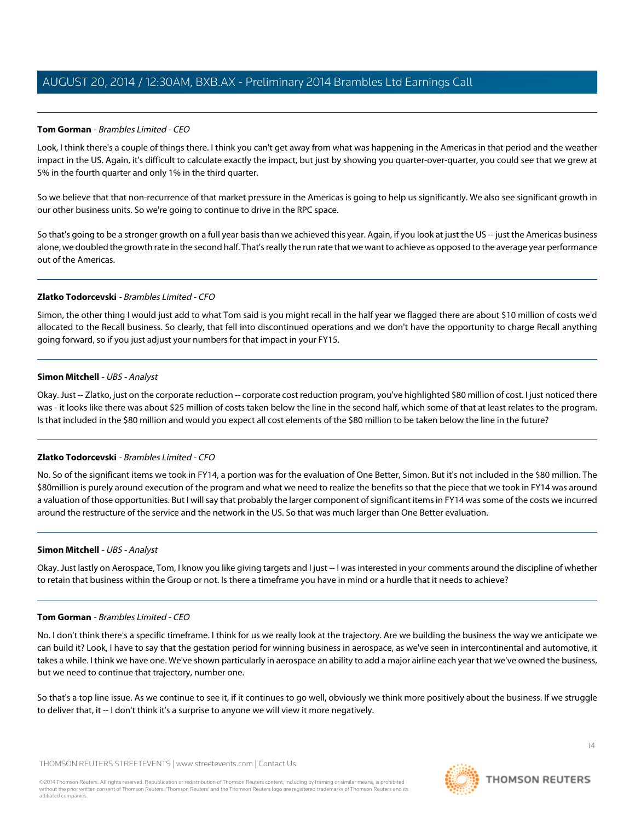# **Tom Gorman** - Brambles Limited - CEO

Look, I think there's a couple of things there. I think you can't get away from what was happening in the Americas in that period and the weather impact in the US. Again, it's difficult to calculate exactly the impact, but just by showing you quarter-over-quarter, you could see that we grew at 5% in the fourth quarter and only 1% in the third quarter.

So we believe that that non-recurrence of that market pressure in the Americas is going to help us significantly. We also see significant growth in our other business units. So we're going to continue to drive in the RPC space.

So that's going to be a stronger growth on a full year basis than we achieved this year. Again, if you look at just the US -- just the Americas business alone, we doubled the growth rate in the second half. That's really the run rate that we want to achieve as opposed to the average year performance out of the Americas.

# **Zlatko Todorcevski** - Brambles Limited - CFO

Simon, the other thing I would just add to what Tom said is you might recall in the half year we flagged there are about \$10 million of costs we'd allocated to the Recall business. So clearly, that fell into discontinued operations and we don't have the opportunity to charge Recall anything going forward, so if you just adjust your numbers for that impact in your FY15.

# **Simon Mitchell** - UBS - Analyst

Okay. Just -- Zlatko, just on the corporate reduction -- corporate cost reduction program, you've highlighted \$80 million of cost. I just noticed there was - it looks like there was about \$25 million of costs taken below the line in the second half, which some of that at least relates to the program. Is that included in the \$80 million and would you expect all cost elements of the \$80 million to be taken below the line in the future?

# **Zlatko Todorcevski** - Brambles Limited - CFO

No. So of the significant items we took in FY14, a portion was for the evaluation of One Better, Simon. But it's not included in the \$80 million. The \$80million is purely around execution of the program and what we need to realize the benefits so that the piece that we took in FY14 was around a valuation of those opportunities. But I will say that probably the larger component of significant items in FY14 was some of the costs we incurred around the restructure of the service and the network in the US. So that was much larger than One Better evaluation.

# **Simon Mitchell** - UBS - Analyst

Okay. Just lastly on Aerospace, Tom, I know you like giving targets and I just -- I was interested in your comments around the discipline of whether to retain that business within the Group or not. Is there a timeframe you have in mind or a hurdle that it needs to achieve?

# **Tom Gorman** - Brambles Limited - CEO

No. I don't think there's a specific timeframe. I think for us we really look at the trajectory. Are we building the business the way we anticipate we can build it? Look, I have to say that the gestation period for winning business in aerospace, as we've seen in intercontinental and automotive, it takes a while. I think we have one. We've shown particularly in aerospace an ability to add a major airline each year that we've owned the business, but we need to continue that trajectory, number one.

So that's a top line issue. As we continue to see it, if it continues to go well, obviously we think more positively about the business. If we struggle to deliver that, it -- I don't think it's a surprise to anyone we will view it more negatively.

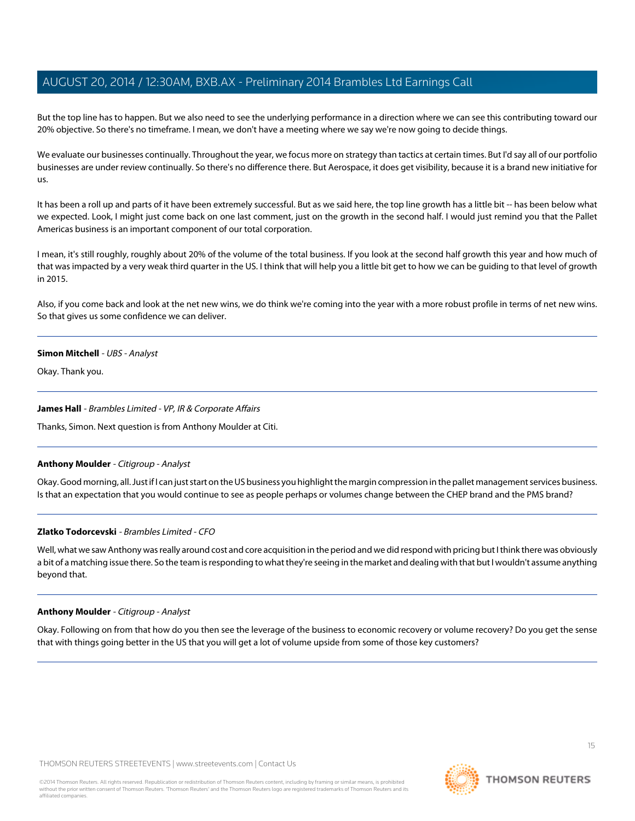But the top line has to happen. But we also need to see the underlying performance in a direction where we can see this contributing toward our 20% objective. So there's no timeframe. I mean, we don't have a meeting where we say we're now going to decide things.

We evaluate our businesses continually. Throughout the year, we focus more on strategy than tactics at certain times. But I'd say all of our portfolio businesses are under review continually. So there's no difference there. But Aerospace, it does get visibility, because it is a brand new initiative for us.

It has been a roll up and parts of it have been extremely successful. But as we said here, the top line growth has a little bit -- has been below what we expected. Look, I might just come back on one last comment, just on the growth in the second half. I would just remind you that the Pallet Americas business is an important component of our total corporation.

I mean, it's still roughly, roughly about 20% of the volume of the total business. If you look at the second half growth this year and how much of that was impacted by a very weak third quarter in the US. I think that will help you a little bit get to how we can be guiding to that level of growth in 2015.

Also, if you come back and look at the net new wins, we do think we're coming into the year with a more robust profile in terms of net new wins. So that gives us some confidence we can deliver.

#### **Simon Mitchell** - UBS - Analyst

Okay. Thank you.

#### **James Hall** - Brambles Limited - VP, IR & Corporate Affairs

<span id="page-14-0"></span>Thanks, Simon. Next question is from Anthony Moulder at Citi.

#### **Anthony Moulder** - Citigroup - Analyst

Okay. Good morning, all. Just if I can just start on the US business you highlight the margin compression in the pallet management services business. Is that an expectation that you would continue to see as people perhaps or volumes change between the CHEP brand and the PMS brand?

# **Zlatko Todorcevski** - Brambles Limited - CFO

Well, what we saw Anthony was really around cost and core acquisition in the period and we did respond with pricing but I think there was obviously a bit of a matching issue there. So the team is responding to what they're seeing in the market and dealing with that but I wouldn't assume anything beyond that.

#### **Anthony Moulder** - Citigroup - Analyst

Okay. Following on from that how do you then see the leverage of the business to economic recovery or volume recovery? Do you get the sense that with things going better in the US that you will get a lot of volume upside from some of those key customers?

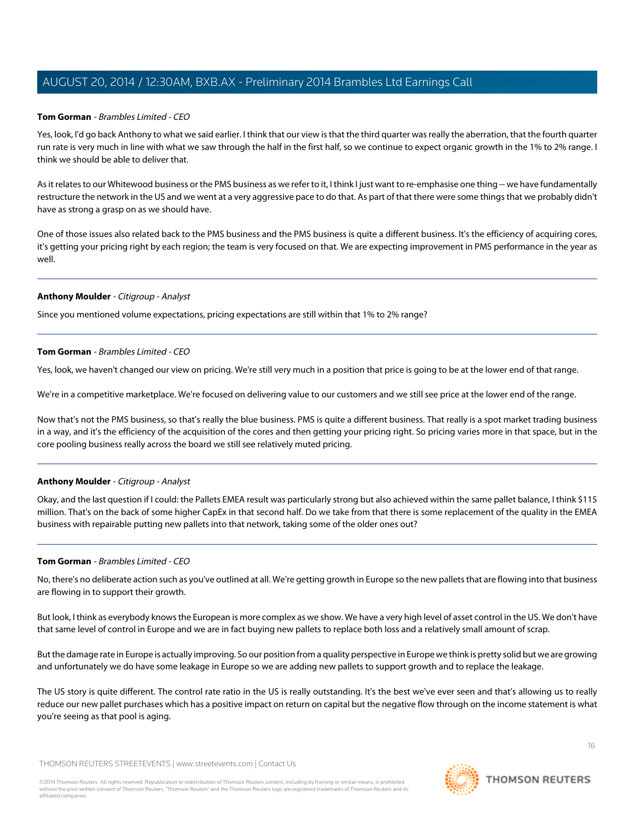#### **Tom Gorman** - Brambles Limited - CEO

Yes, look, I'd go back Anthony to what we said earlier. I think that our view is that the third quarter was really the aberration, that the fourth quarter run rate is very much in line with what we saw through the half in the first half, so we continue to expect organic growth in the 1% to 2% range. I think we should be able to deliver that.

As it relates to our Whitewood business or the PMS business as we refer to it, I think I just want to re-emphasise one thing -- we have fundamentally restructure the network in the US and we went at a very aggressive pace to do that. As part of that there were some things that we probably didn't have as strong a grasp on as we should have.

One of those issues also related back to the PMS business and the PMS business is quite a different business. It's the efficiency of acquiring cores, it's getting your pricing right by each region; the team is very focused on that. We are expecting improvement in PMS performance in the year as well.

#### **Anthony Moulder** - Citigroup - Analyst

Since you mentioned volume expectations, pricing expectations are still within that 1% to 2% range?

#### **Tom Gorman** - Brambles Limited - CEO

Yes, look, we haven't changed our view on pricing. We're still very much in a position that price is going to be at the lower end of that range.

We're in a competitive marketplace. We're focused on delivering value to our customers and we still see price at the lower end of the range.

Now that's not the PMS business, so that's really the blue business. PMS is quite a different business. That really is a spot market trading business in a way, and it's the efficiency of the acquisition of the cores and then getting your pricing right. So pricing varies more in that space, but in the core pooling business really across the board we still see relatively muted pricing.

# **Anthony Moulder** - Citigroup - Analyst

Okay, and the last question if I could: the Pallets EMEA result was particularly strong but also achieved within the same pallet balance, I think \$115 million. That's on the back of some higher CapEx in that second half. Do we take from that there is some replacement of the quality in the EMEA business with repairable putting new pallets into that network, taking some of the older ones out?

#### **Tom Gorman** - Brambles Limited - CEO

No, there's no deliberate action such as you've outlined at all. We're getting growth in Europe so the new pallets that are flowing into that business are flowing in to support their growth.

But look, I think as everybody knows the European is more complex as we show. We have a very high level of asset control in the US. We don't have that same level of control in Europe and we are in fact buying new pallets to replace both loss and a relatively small amount of scrap.

But the damage rate in Europe is actually improving. So our position from a quality perspective in Europe we think is pretty solid but we are growing and unfortunately we do have some leakage in Europe so we are adding new pallets to support growth and to replace the leakage.

The US story is quite different. The control rate ratio in the US is really outstanding. It's the best we've ever seen and that's allowing us to really reduce our new pallet purchases which has a positive impact on return on capital but the negative flow through on the income statement is what you're seeing as that pool is aging.

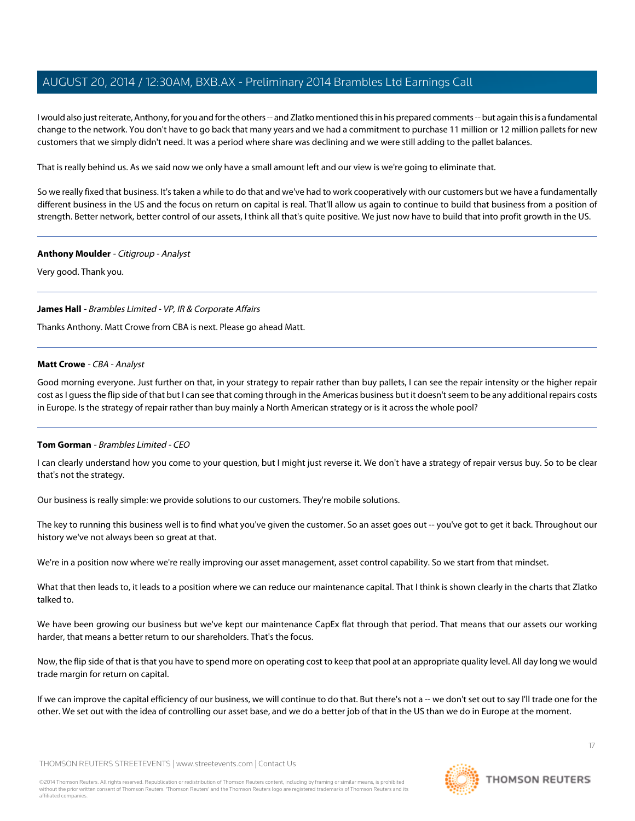I would also just reiterate, Anthony, for you and for the others -- and Zlatko mentioned this in his prepared comments -- but again this is a fundamental change to the network. You don't have to go back that many years and we had a commitment to purchase 11 million or 12 million pallets for new customers that we simply didn't need. It was a period where share was declining and we were still adding to the pallet balances.

That is really behind us. As we said now we only have a small amount left and our view is we're going to eliminate that.

So we really fixed that business. It's taken a while to do that and we've had to work cooperatively with our customers but we have a fundamentally different business in the US and the focus on return on capital is real. That'll allow us again to continue to build that business from a position of strength. Better network, better control of our assets, I think all that's quite positive. We just now have to build that into profit growth in the US.

#### **Anthony Moulder** - Citigroup - Analyst

Very good. Thank you.

#### **James Hall** - Brambles Limited - VP, IR & Corporate Affairs

<span id="page-16-0"></span>Thanks Anthony. Matt Crowe from CBA is next. Please go ahead Matt.

#### **Matt Crowe** - CBA - Analyst

Good morning everyone. Just further on that, in your strategy to repair rather than buy pallets, I can see the repair intensity or the higher repair cost as I guess the flip side of that but I can see that coming through in the Americas business but it doesn't seem to be any additional repairs costs in Europe. Is the strategy of repair rather than buy mainly a North American strategy or is it across the whole pool?

# **Tom Gorman** - Brambles Limited - CEO

I can clearly understand how you come to your question, but I might just reverse it. We don't have a strategy of repair versus buy. So to be clear that's not the strategy.

Our business is really simple: we provide solutions to our customers. They're mobile solutions.

The key to running this business well is to find what you've given the customer. So an asset goes out -- you've got to get it back. Throughout our history we've not always been so great at that.

We're in a position now where we're really improving our asset management, asset control capability. So we start from that mindset.

What that then leads to, it leads to a position where we can reduce our maintenance capital. That I think is shown clearly in the charts that Zlatko talked to.

We have been growing our business but we've kept our maintenance CapEx flat through that period. That means that our assets our working harder, that means a better return to our shareholders. That's the focus.

Now, the flip side of that is that you have to spend more on operating cost to keep that pool at an appropriate quality level. All day long we would trade margin for return on capital.

If we can improve the capital efficiency of our business, we will continue to do that. But there's not a -- we don't set out to say I'll trade one for the other. We set out with the idea of controlling our asset base, and we do a better job of that in the US than we do in Europe at the moment.

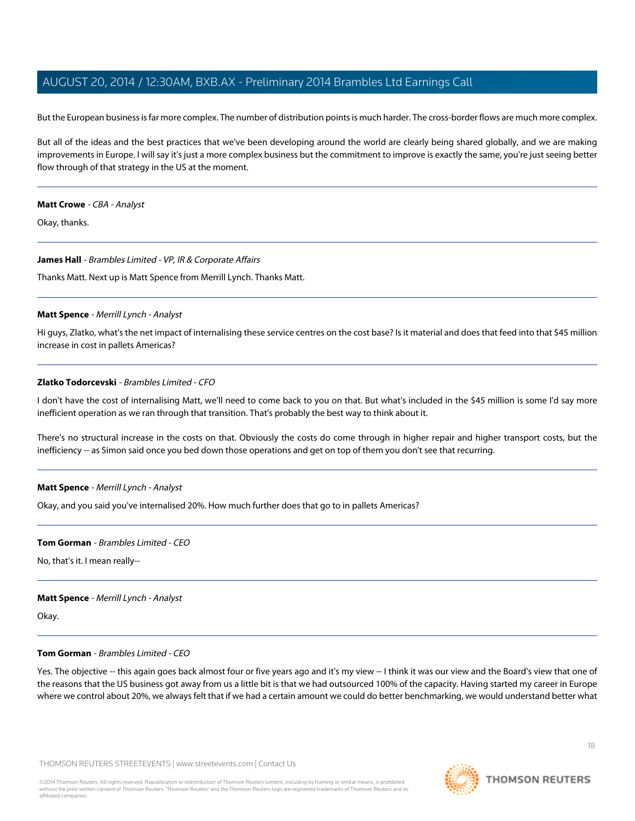But the European business is far more complex. The number of distribution points is much harder. The cross-border flows are much more complex.

But all of the ideas and the best practices that we've been developing around the world are clearly being shared globally, and we are making improvements in Europe. I will say it's just a more complex business but the commitment to improve is exactly the same, you're just seeing better flow through of that strategy in the US at the moment.

#### **Matt Crowe** - CBA - Analyst

Okay, thanks.

#### **James Hall** - Brambles Limited - VP, IR & Corporate Affairs

<span id="page-17-0"></span>Thanks Matt. Next up is Matt Spence from Merrill Lynch. Thanks Matt.

#### **Matt Spence** - Merrill Lynch - Analyst

Hi guys, Zlatko, what's the net impact of internalising these service centres on the cost base? Is it material and does that feed into that \$45 million increase in cost in pallets Americas?

#### **Zlatko Todorcevski** - Brambles Limited - CFO

I don't have the cost of internalising Matt, we'll need to come back to you on that. But what's included in the \$45 million is some I'd say more inefficient operation as we ran through that transition. That's probably the best way to think about it.

There's no structural increase in the costs on that. Obviously the costs do come through in higher repair and higher transport costs, but the inefficiency -- as Simon said once you bed down those operations and get on top of them you don't see that recurring.

#### **Matt Spence** - Merrill Lynch - Analyst

Okay, and you said you've internalised 20%. How much further does that go to in pallets Americas?

#### **Tom Gorman** - Brambles Limited - CEO

No, that's it. I mean really--

#### **Matt Spence** - Merrill Lynch - Analyst

Okay.

#### **Tom Gorman** - Brambles Limited - CEO

Yes. The objective -- this again goes back almost four or five years ago and it's my view -- I think it was our view and the Board's view that one of the reasons that the US business got away from us a little bit is that we had outsourced 100% of the capacity. Having started my career in Europe where we control about 20%, we always felt that if we had a certain amount we could do better benchmarking, we would understand better what

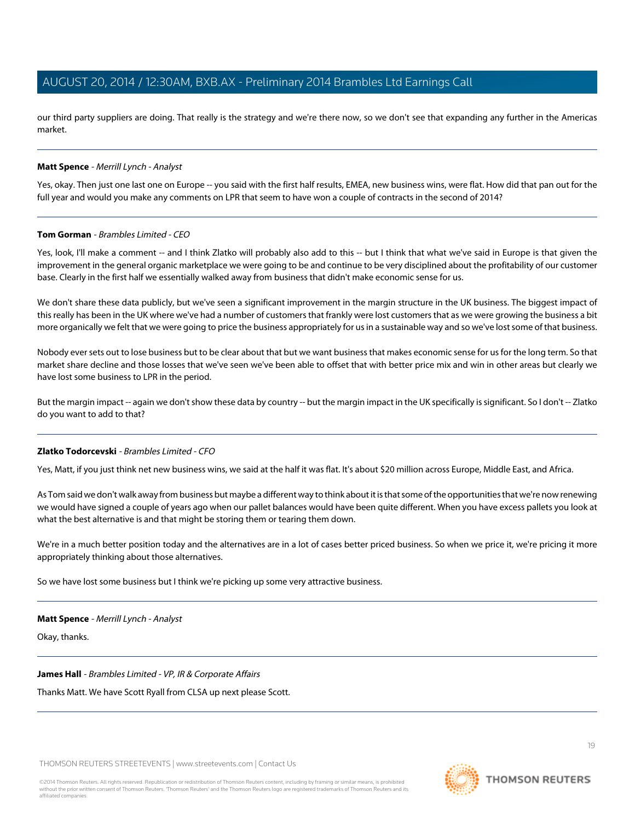our third party suppliers are doing. That really is the strategy and we're there now, so we don't see that expanding any further in the Americas market.

#### **Matt Spence** - Merrill Lynch - Analyst

Yes, okay. Then just one last one on Europe -- you said with the first half results, EMEA, new business wins, were flat. How did that pan out for the full year and would you make any comments on LPR that seem to have won a couple of contracts in the second of 2014?

#### **Tom Gorman** - Brambles Limited - CEO

Yes, look, I'll make a comment -- and I think Zlatko will probably also add to this -- but I think that what we've said in Europe is that given the improvement in the general organic marketplace we were going to be and continue to be very disciplined about the profitability of our customer base. Clearly in the first half we essentially walked away from business that didn't make economic sense for us.

We don't share these data publicly, but we've seen a significant improvement in the margin structure in the UK business. The biggest impact of this really has been in the UK where we've had a number of customers that frankly were lost customers that as we were growing the business a bit more organically we felt that we were going to price the business appropriately for us in a sustainable way and so we've lost some of that business.

Nobody ever sets out to lose business but to be clear about that but we want business that makes economic sense for us for the long term. So that market share decline and those losses that we've seen we've been able to offset that with better price mix and win in other areas but clearly we have lost some business to LPR in the period.

But the margin impact -- again we don't show these data by country -- but the margin impact in the UK specifically is significant. So I don't -- Zlatko do you want to add to that?

#### **Zlatko Todorcevski** - Brambles Limited - CFO

Yes, Matt, if you just think net new business wins, we said at the half it was flat. It's about \$20 million across Europe, Middle East, and Africa.

As Tom said we don't walk away from business but maybe a different way to think about it is that some of the opportunities that we're now renewing we would have signed a couple of years ago when our pallet balances would have been quite different. When you have excess pallets you look at what the best alternative is and that might be storing them or tearing them down.

We're in a much better position today and the alternatives are in a lot of cases better priced business. So when we price it, we're pricing it more appropriately thinking about those alternatives.

So we have lost some business but I think we're picking up some very attractive business.

#### **Matt Spence** - Merrill Lynch - Analyst

Okay, thanks.

**James Hall** - Brambles Limited - VP, IR & Corporate Affairs

Thanks Matt. We have Scott Ryall from CLSA up next please Scott.

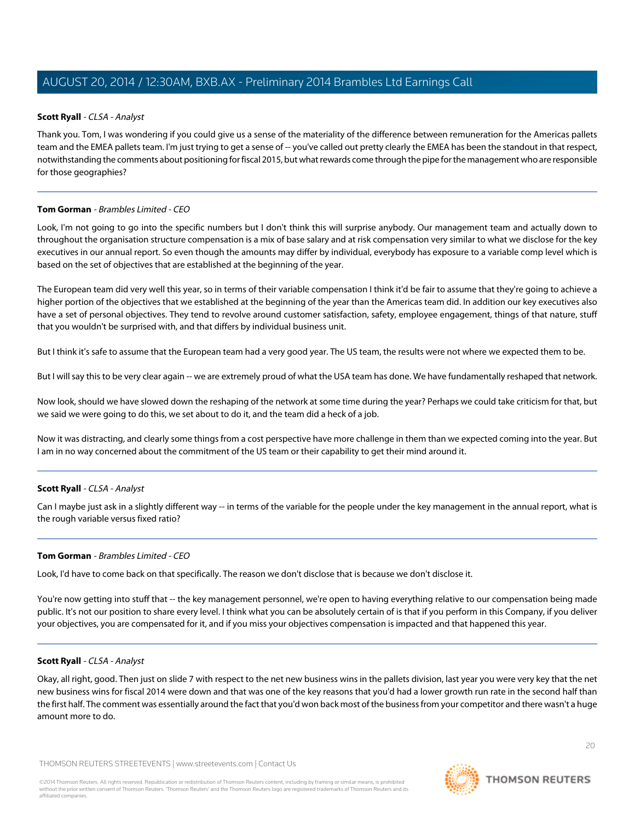# <span id="page-19-0"></span>**Scott Ryall** - CLSA - Analyst

Thank you. Tom, I was wondering if you could give us a sense of the materiality of the difference between remuneration for the Americas pallets team and the EMEA pallets team. I'm just trying to get a sense of -- you've called out pretty clearly the EMEA has been the standout in that respect, notwithstanding the comments about positioning for fiscal 2015, but what rewards come through the pipe for the management who are responsible for those geographies?

# **Tom Gorman** - Brambles Limited - CEO

Look, I'm not going to go into the specific numbers but I don't think this will surprise anybody. Our management team and actually down to throughout the organisation structure compensation is a mix of base salary and at risk compensation very similar to what we disclose for the key executives in our annual report. So even though the amounts may differ by individual, everybody has exposure to a variable comp level which is based on the set of objectives that are established at the beginning of the year.

The European team did very well this year, so in terms of their variable compensation I think it'd be fair to assume that they're going to achieve a higher portion of the objectives that we established at the beginning of the year than the Americas team did. In addition our key executives also have a set of personal objectives. They tend to revolve around customer satisfaction, safety, employee engagement, things of that nature, stuff that you wouldn't be surprised with, and that differs by individual business unit.

But I think it's safe to assume that the European team had a very good year. The US team, the results were not where we expected them to be.

But I will say this to be very clear again -- we are extremely proud of what the USA team has done. We have fundamentally reshaped that network.

Now look, should we have slowed down the reshaping of the network at some time during the year? Perhaps we could take criticism for that, but we said we were going to do this, we set about to do it, and the team did a heck of a job.

Now it was distracting, and clearly some things from a cost perspective have more challenge in them than we expected coming into the year. But I am in no way concerned about the commitment of the US team or their capability to get their mind around it.

# **Scott Ryall** - CLSA - Analyst

Can I maybe just ask in a slightly different way -- in terms of the variable for the people under the key management in the annual report, what is the rough variable versus fixed ratio?

# **Tom Gorman** - Brambles Limited - CEO

Look, I'd have to come back on that specifically. The reason we don't disclose that is because we don't disclose it.

You're now getting into stuff that -- the key management personnel, we're open to having everything relative to our compensation being made public. It's not our position to share every level. I think what you can be absolutely certain of is that if you perform in this Company, if you deliver your objectives, you are compensated for it, and if you miss your objectives compensation is impacted and that happened this year.

# **Scott Ryall** - CLSA - Analyst

Okay, all right, good. Then just on slide 7 with respect to the net new business wins in the pallets division, last year you were very key that the net new business wins for fiscal 2014 were down and that was one of the key reasons that you'd had a lower growth run rate in the second half than the first half. The comment was essentially around the fact that you'd won back most of the business from your competitor and there wasn't a huge amount more to do.

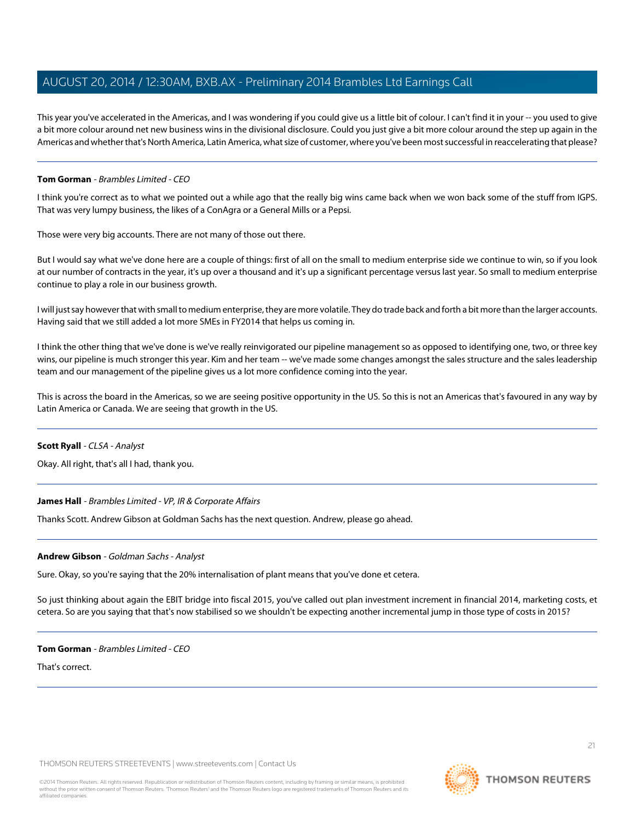This year you've accelerated in the Americas, and I was wondering if you could give us a little bit of colour. I can't find it in your -- you used to give a bit more colour around net new business wins in the divisional disclosure. Could you just give a bit more colour around the step up again in the Americas and whether that's North America, Latin America, what size of customer, where you've been most successful in reaccelerating that please?

# **Tom Gorman** - Brambles Limited - CEO

I think you're correct as to what we pointed out a while ago that the really big wins came back when we won back some of the stuff from IGPS. That was very lumpy business, the likes of a ConAgra or a General Mills or a Pepsi.

Those were very big accounts. There are not many of those out there.

But I would say what we've done here are a couple of things: first of all on the small to medium enterprise side we continue to win, so if you look at our number of contracts in the year, it's up over a thousand and it's up a significant percentage versus last year. So small to medium enterprise continue to play a role in our business growth.

I will just say however that with small to medium enterprise, they are more volatile. They do trade back and forth a bit more than the larger accounts. Having said that we still added a lot more SMEs in FY2014 that helps us coming in.

I think the other thing that we've done is we've really reinvigorated our pipeline management so as opposed to identifying one, two, or three key wins, our pipeline is much stronger this year. Kim and her team -- we've made some changes amongst the sales structure and the sales leadership team and our management of the pipeline gives us a lot more confidence coming into the year.

This is across the board in the Americas, so we are seeing positive opportunity in the US. So this is not an Americas that's favoured in any way by Latin America or Canada. We are seeing that growth in the US.

#### **Scott Ryall** - CLSA - Analyst

Okay. All right, that's all I had, thank you.

# <span id="page-20-0"></span>**James Hall** - Brambles Limited - VP, IR & Corporate Affairs

Thanks Scott. Andrew Gibson at Goldman Sachs has the next question. Andrew, please go ahead.

#### **Andrew Gibson** - Goldman Sachs - Analyst

Sure. Okay, so you're saying that the 20% internalisation of plant means that you've done et cetera.

So just thinking about again the EBIT bridge into fiscal 2015, you've called out plan investment increment in financial 2014, marketing costs, et cetera. So are you saying that that's now stabilised so we shouldn't be expecting another incremental jump in those type of costs in 2015?

#### **Tom Gorman** - Brambles Limited - CEO

That's correct.

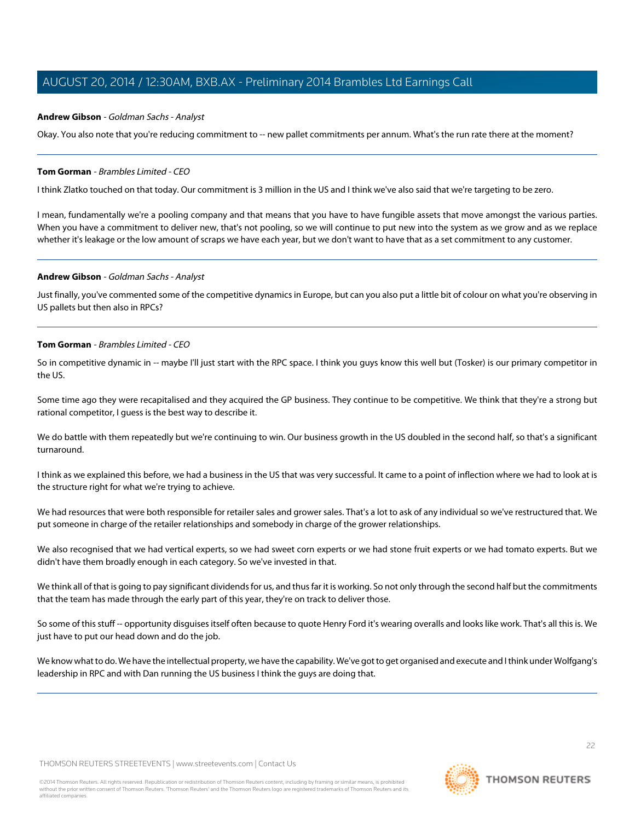#### **Andrew Gibson** - Goldman Sachs - Analyst

Okay. You also note that you're reducing commitment to -- new pallet commitments per annum. What's the run rate there at the moment?

#### **Tom Gorman** - Brambles Limited - CEO

I think Zlatko touched on that today. Our commitment is 3 million in the US and I think we've also said that we're targeting to be zero.

I mean, fundamentally we're a pooling company and that means that you have to have fungible assets that move amongst the various parties. When you have a commitment to deliver new, that's not pooling, so we will continue to put new into the system as we grow and as we replace whether it's leakage or the low amount of scraps we have each year, but we don't want to have that as a set commitment to any customer.

#### **Andrew Gibson** - Goldman Sachs - Analyst

Just finally, you've commented some of the competitive dynamics in Europe, but can you also put a little bit of colour on what you're observing in US pallets but then also in RPCs?

#### **Tom Gorman** - Brambles Limited - CEO

So in competitive dynamic in -- maybe I'll just start with the RPC space. I think you guys know this well but (Tosker) is our primary competitor in the US.

Some time ago they were recapitalised and they acquired the GP business. They continue to be competitive. We think that they're a strong but rational competitor, I guess is the best way to describe it.

We do battle with them repeatedly but we're continuing to win. Our business growth in the US doubled in the second half, so that's a significant turnaround.

I think as we explained this before, we had a business in the US that was very successful. It came to a point of inflection where we had to look at is the structure right for what we're trying to achieve.

We had resources that were both responsible for retailer sales and grower sales. That's a lot to ask of any individual so we've restructured that. We put someone in charge of the retailer relationships and somebody in charge of the grower relationships.

We also recognised that we had vertical experts, so we had sweet corn experts or we had stone fruit experts or we had tomato experts. But we didn't have them broadly enough in each category. So we've invested in that.

We think all of that is going to pay significant dividends for us, and thus far it is working. So not only through the second half but the commitments that the team has made through the early part of this year, they're on track to deliver those.

So some of this stuff -- opportunity disguises itself often because to quote Henry Ford it's wearing overalls and looks like work. That's all this is. We just have to put our head down and do the job.

We know what to do. We have the intellectual property, we have the capability. We've got to get organised and execute and I think under Wolfgang's leadership in RPC and with Dan running the US business I think the guys are doing that.

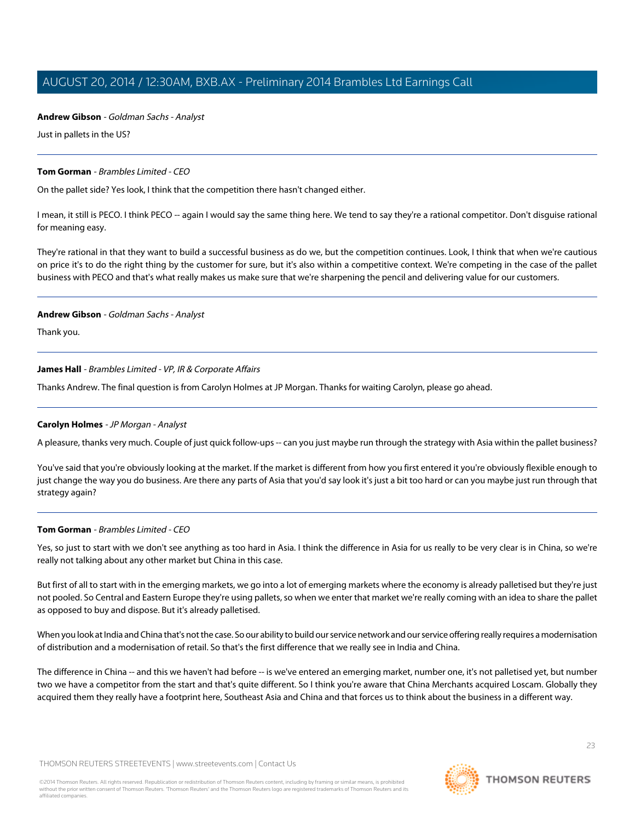# **Andrew Gibson** - Goldman Sachs - Analyst

Just in pallets in the US?

# **Tom Gorman** - Brambles Limited - CEO

On the pallet side? Yes look, I think that the competition there hasn't changed either.

I mean, it still is PECO. I think PECO -- again I would say the same thing here. We tend to say they're a rational competitor. Don't disguise rational for meaning easy.

They're rational in that they want to build a successful business as do we, but the competition continues. Look, I think that when we're cautious on price it's to do the right thing by the customer for sure, but it's also within a competitive context. We're competing in the case of the pallet business with PECO and that's what really makes us make sure that we're sharpening the pencil and delivering value for our customers.

# **Andrew Gibson** - Goldman Sachs - Analyst

Thank you.

# **James Hall** - Brambles Limited - VP, IR & Corporate Affairs

<span id="page-22-0"></span>Thanks Andrew. The final question is from Carolyn Holmes at JP Morgan. Thanks for waiting Carolyn, please go ahead.

# **Carolyn Holmes** - JP Morgan - Analyst

A pleasure, thanks very much. Couple of just quick follow-ups -- can you just maybe run through the strategy with Asia within the pallet business?

You've said that you're obviously looking at the market. If the market is different from how you first entered it you're obviously flexible enough to just change the way you do business. Are there any parts of Asia that you'd say look it's just a bit too hard or can you maybe just run through that strategy again?

# **Tom Gorman** - Brambles Limited - CEO

Yes, so just to start with we don't see anything as too hard in Asia. I think the difference in Asia for us really to be very clear is in China, so we're really not talking about any other market but China in this case.

But first of all to start with in the emerging markets, we go into a lot of emerging markets where the economy is already palletised but they're just not pooled. So Central and Eastern Europe they're using pallets, so when we enter that market we're really coming with an idea to share the pallet as opposed to buy and dispose. But it's already palletised.

When you look at India and China that's not the case. So our ability to build our service network and our service offering really requires a modernisation of distribution and a modernisation of retail. So that's the first difference that we really see in India and China.

The difference in China -- and this we haven't had before -- is we've entered an emerging market, number one, it's not palletised yet, but number two we have a competitor from the start and that's quite different. So I think you're aware that China Merchants acquired Loscam. Globally they acquired them they really have a footprint here, Southeast Asia and China and that forces us to think about the business in a different way.

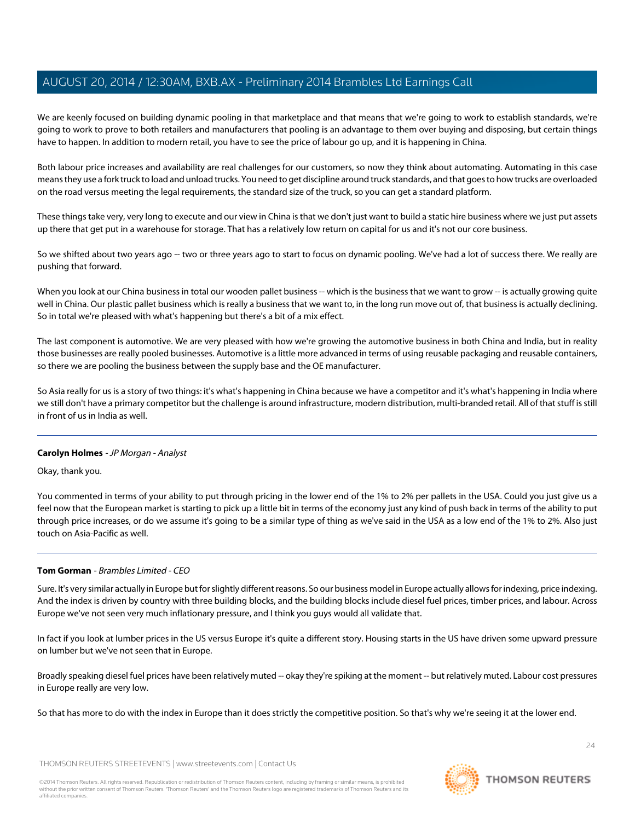We are keenly focused on building dynamic pooling in that marketplace and that means that we're going to work to establish standards, we're going to work to prove to both retailers and manufacturers that pooling is an advantage to them over buying and disposing, but certain things have to happen. In addition to modern retail, you have to see the price of labour go up, and it is happening in China.

Both labour price increases and availability are real challenges for our customers, so now they think about automating. Automating in this case means they use a fork truck to load and unload trucks. You need to get discipline around truck standards, and that goes to how trucks are overloaded on the road versus meeting the legal requirements, the standard size of the truck, so you can get a standard platform.

These things take very, very long to execute and our view in China is that we don't just want to build a static hire business where we just put assets up there that get put in a warehouse for storage. That has a relatively low return on capital for us and it's not our core business.

So we shifted about two years ago -- two or three years ago to start to focus on dynamic pooling. We've had a lot of success there. We really are pushing that forward.

When you look at our China business in total our wooden pallet business -- which is the business that we want to grow -- is actually growing quite well in China. Our plastic pallet business which is really a business that we want to, in the long run move out of, that business is actually declining. So in total we're pleased with what's happening but there's a bit of a mix effect.

The last component is automotive. We are very pleased with how we're growing the automotive business in both China and India, but in reality those businesses are really pooled businesses. Automotive is a little more advanced in terms of using reusable packaging and reusable containers, so there we are pooling the business between the supply base and the OE manufacturer.

So Asia really for us is a story of two things: it's what's happening in China because we have a competitor and it's what's happening in India where we still don't have a primary competitor but the challenge is around infrastructure, modern distribution, multi-branded retail. All of that stuff is still in front of us in India as well.

# **Carolyn Holmes** - JP Morgan - Analyst

Okay, thank you.

You commented in terms of your ability to put through pricing in the lower end of the 1% to 2% per pallets in the USA. Could you just give us a feel now that the European market is starting to pick up a little bit in terms of the economy just any kind of push back in terms of the ability to put through price increases, or do we assume it's going to be a similar type of thing as we've said in the USA as a low end of the 1% to 2%. Also just touch on Asia-Pacific as well.

# **Tom Gorman** - Brambles Limited - CEO

Sure. It's very similar actually in Europe but for slightly different reasons. So our business model in Europe actually allows for indexing, price indexing. And the index is driven by country with three building blocks, and the building blocks include diesel fuel prices, timber prices, and labour. Across Europe we've not seen very much inflationary pressure, and I think you guys would all validate that.

In fact if you look at lumber prices in the US versus Europe it's quite a different story. Housing starts in the US have driven some upward pressure on lumber but we've not seen that in Europe.

Broadly speaking diesel fuel prices have been relatively muted -- okay they're spiking at the moment -- but relatively muted. Labour cost pressures in Europe really are very low.

So that has more to do with the index in Europe than it does strictly the competitive position. So that's why we're seeing it at the lower end.

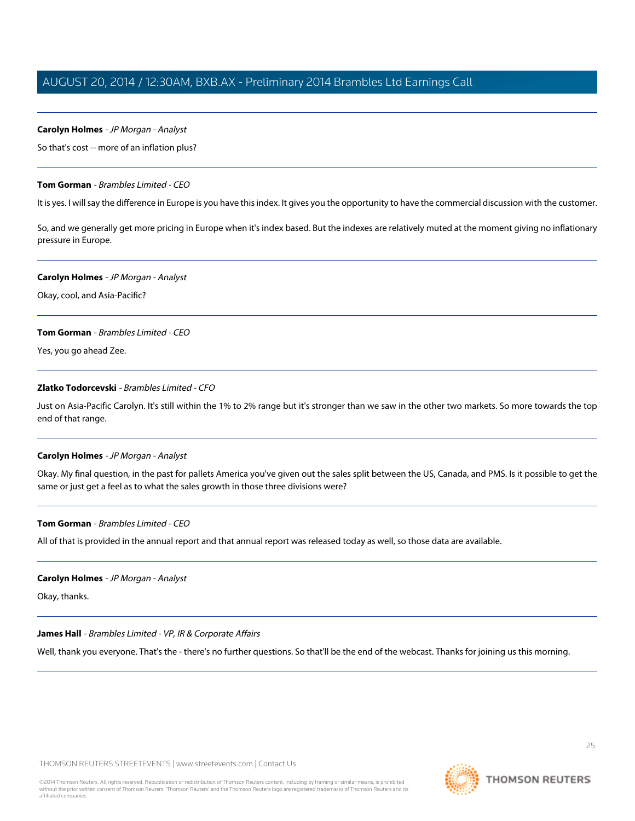#### **Carolyn Holmes** - JP Morgan - Analyst

So that's cost -- more of an inflation plus?

#### **Tom Gorman** - Brambles Limited - CEO

It is yes. I will say the difference in Europe is you have this index. It gives you the opportunity to have the commercial discussion with the customer.

So, and we generally get more pricing in Europe when it's index based. But the indexes are relatively muted at the moment giving no inflationary pressure in Europe.

#### **Carolyn Holmes** - JP Morgan - Analyst

Okay, cool, and Asia-Pacific?

#### **Tom Gorman** - Brambles Limited - CEO

Yes, you go ahead Zee.

# **Zlatko Todorcevski** - Brambles Limited - CFO

Just on Asia-Pacific Carolyn. It's still within the 1% to 2% range but it's stronger than we saw in the other two markets. So more towards the top end of that range.

#### **Carolyn Holmes** - JP Morgan - Analyst

Okay. My final question, in the past for pallets America you've given out the sales split between the US, Canada, and PMS. Is it possible to get the same or just get a feel as to what the sales growth in those three divisions were?

#### **Tom Gorman** - Brambles Limited - CEO

All of that is provided in the annual report and that annual report was released today as well, so those data are available.

#### **Carolyn Holmes** - JP Morgan - Analyst

Okay, thanks.

#### **James Hall** - Brambles Limited - VP, IR & Corporate Affairs

Well, thank you everyone. That's the - there's no further questions. So that'll be the end of the webcast. Thanks for joining us this morning.